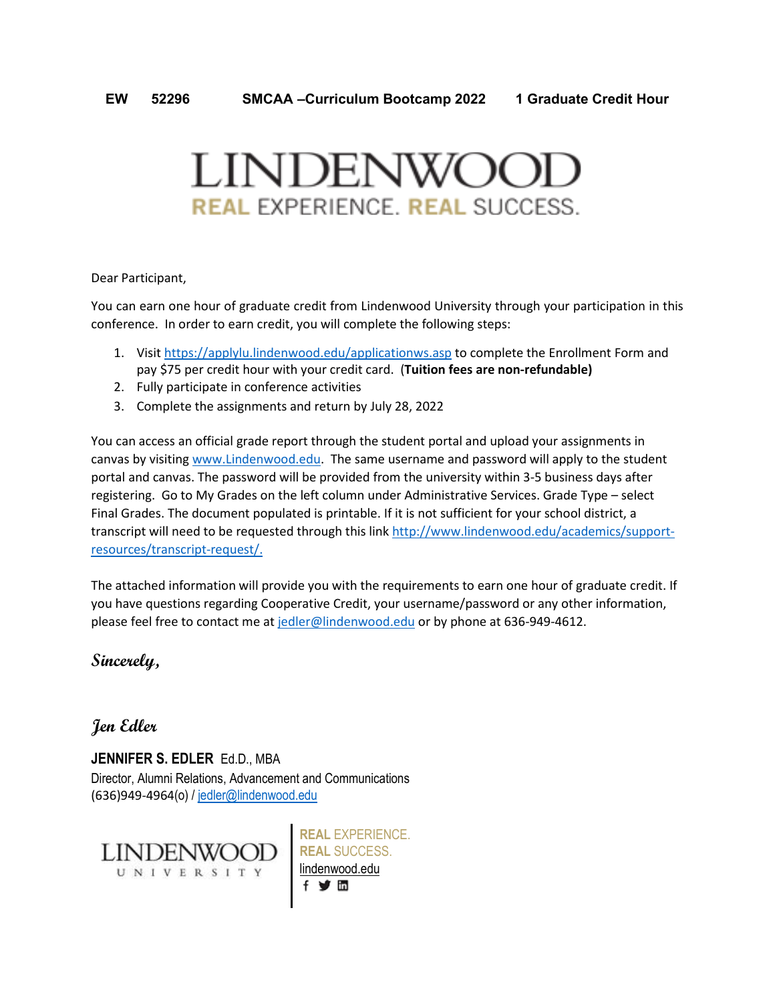# **LINDENWOOL REAL EXPERIENCE. REAL SUCCESS.**

Dear Participant,

You can earn one hour of graduate credit from Lindenwood University through your participation in this conference. In order to earn credit, you will complete the following steps:

- 1. Visit<https://applylu.lindenwood.edu/applicationws.asp> to complete the Enrollment Form and pay \$75 per credit hour with your credit card. (**Tuition fees are non-refundable)**
- 2. Fully participate in conference activities
- 3. Complete the assignments and return by July 28, 2022

You can access an official grade report through the student portal and upload your assignments in canvas by visiting [www.Lindenwood.edu.](http://www.lindenwood.edu/) The same username and password will apply to the student portal and canvas. The password will be provided from the university within 3-5 business days after registering. Go to My Grades on the left column under Administrative Services. Grade Type – select Final Grades. The document populated is printable. If it is not sufficient for your school district, a transcript will need to be requested through this link http://www.lindenwood.edu/academics/supportresources/transcript-request/.

The attached information will provide you with the requirements to earn one hour of graduate credit. If you have questions regarding Cooperative Credit, your username/password or any other information, please feel free to contact me a[t jedler@lindenwood.edu](mailto:jedler@lindenwood.edu) or by phone at 636-949-4612.

**Sincerely,**

**Jen Edler** 

**JENNIFER S. EDLER** Ed.D., MBA Director, Alumni Relations, Advancement and Communications (636)949-4964(o) / [jedler@lindenwood.edu](mailto:jedler@lindenwood.edu) 



**REAL** EXPERIENCE. **REAL** SUCCESS. [lindenwood.edu](https://www.lindenwood.edu/)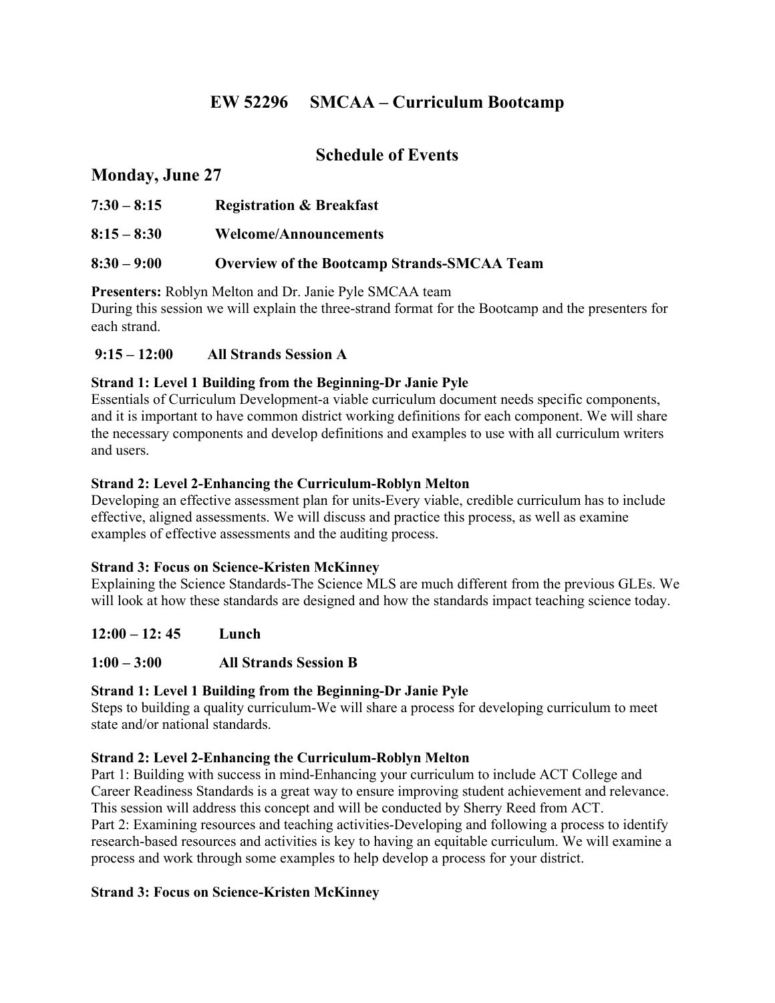# **EW 52296 SMCAA – Curriculum Bootcamp**

# **Schedule of Events**

# **Monday, June 27**

| $7:30 - 8:15$ | <b>Registration &amp; Breakfast</b>                |
|---------------|----------------------------------------------------|
| $8:15 - 8:30$ | <b>Welcome/Announcements</b>                       |
| $8:30 - 9:00$ | <b>Overview of the Bootcamp Strands-SMCAA Team</b> |

**Presenters:** Roblyn Melton and Dr. Janie Pyle SMCAA team During this session we will explain the three-strand format for the Bootcamp and the presenters for each strand.

#### **9:15 – 12:00 All Strands Session A**

#### **Strand 1: Level 1 Building from the Beginning-Dr Janie Pyle**

Essentials of Curriculum Development-a viable curriculum document needs specific components, and it is important to have common district working definitions for each component. We will share the necessary components and develop definitions and examples to use with all curriculum writers and users.

#### **Strand 2: Level 2-Enhancing the Curriculum-Roblyn Melton**

Developing an effective assessment plan for units-Every viable, credible curriculum has to include effective, aligned assessments. We will discuss and practice this process, as well as examine examples of effective assessments and the auditing process.

#### **Strand 3: Focus on Science-Kristen McKinney**

Explaining the Science Standards-The Science MLS are much different from the previous GLEs. We will look at how these standards are designed and how the standards impact teaching science today.

## **12:00 – 12: 45 Lunch**

## **1:00 – 3:00 All Strands Session B**

#### **Strand 1: Level 1 Building from the Beginning-Dr Janie Pyle**

Steps to building a quality curriculum-We will share a process for developing curriculum to meet state and/or national standards.

#### **Strand 2: Level 2-Enhancing the Curriculum-Roblyn Melton**

Part 1: Building with success in mind-Enhancing your curriculum to include ACT College and Career Readiness Standards is a great way to ensure improving student achievement and relevance. This session will address this concept and will be conducted by Sherry Reed from ACT. Part 2: Examining resources and teaching activities-Developing and following a process to identify research-based resources and activities is key to having an equitable curriculum. We will examine a process and work through some examples to help develop a process for your district.

## **Strand 3: Focus on Science-Kristen McKinney**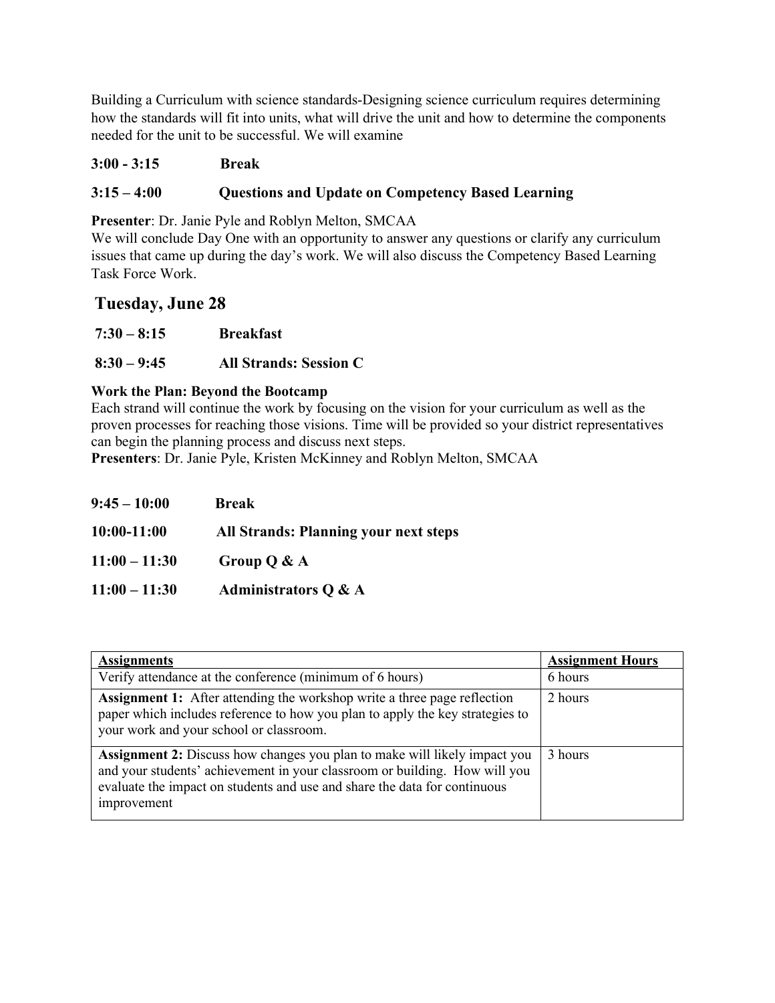Building a Curriculum with science standards-Designing science curriculum requires determining how the standards will fit into units, what will drive the unit and how to determine the components needed for the unit to be successful. We will examine

#### **3:00 - 3:15 Break**

# **3:15 – 4:00 Questions and Update on Competency Based Learning**

**Presenter**: Dr. Janie Pyle and Roblyn Melton, SMCAA

We will conclude Day One with an opportunity to answer any questions or clarify any curriculum issues that came up during the day's work. We will also discuss the Competency Based Learning Task Force Work.

## **Tuesday, June 28**

| $7:30 - 8:15$ | <b>Breakfast</b> |
|---------------|------------------|
|               |                  |

 **8:30 – 9:45 All Strands: Session C** 

#### **Work the Plan: Beyond the Bootcamp**

Each strand will continue the work by focusing on the vision for your curriculum as well as the proven processes for reaching those visions. Time will be provided so your district representatives can begin the planning process and discuss next steps.

**Presenters**: Dr. Janie Pyle, Kristen McKinney and Roblyn Melton, SMCAA

| $9:45 - 10:00$  | <b>Break</b>                                 |
|-----------------|----------------------------------------------|
| 10:00-11:00     | <b>All Strands: Planning your next steps</b> |
| $11:00 - 11:30$ | Group $Q \& A$                               |
| $11:00 - 11:30$ | Administrators Q & A                         |

| <b>Assignments</b>                                                                                                                                                                                                                                         | <b>Assignment Hours</b> |
|------------------------------------------------------------------------------------------------------------------------------------------------------------------------------------------------------------------------------------------------------------|-------------------------|
| Verify attendance at the conference (minimum of 6 hours)                                                                                                                                                                                                   | 6 hours                 |
| <b>Assignment 1:</b> After attending the workshop write a three page reflection<br>paper which includes reference to how you plan to apply the key strategies to<br>your work and your school or classroom.                                                | 2 hours                 |
| <b>Assignment 2:</b> Discuss how changes you plan to make will likely impact you<br>and your students' achievement in your classroom or building. How will you<br>evaluate the impact on students and use and share the data for continuous<br>improvement | 3 hours                 |